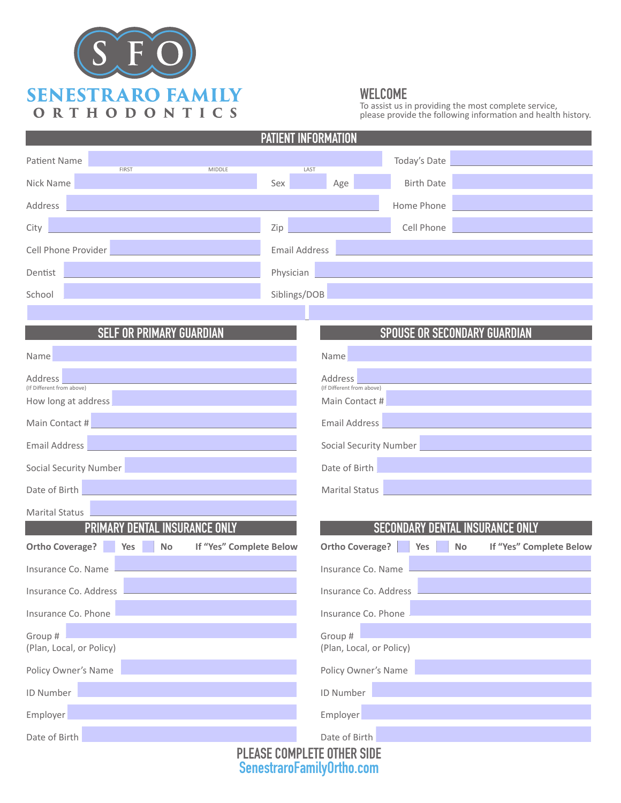

### WELCOME

To assist us in providing the most complete service, please provide the following information and health history.

| <b>PATIENT INFORMATION</b>                                            |                      |                                      |                   |                                      |
|-----------------------------------------------------------------------|----------------------|--------------------------------------|-------------------|--------------------------------------|
| <b>Patient Name</b><br><b>FIRST</b><br>MIDDLE                         | LAST                 |                                      | Today's Date      |                                      |
| Nick Name                                                             | Sex                  | Age                                  | <b>Birth Date</b> |                                      |
| Address                                                               |                      |                                      | Home Phone        |                                      |
| City                                                                  | Zip                  |                                      | Cell Phone        |                                      |
| Cell Phone Provider                                                   | <b>Email Address</b> |                                      |                   |                                      |
| Dentist                                                               | Physician            |                                      |                   |                                      |
| School                                                                | Siblings/DOB         |                                      |                   |                                      |
|                                                                       |                      |                                      |                   |                                      |
| <b>SELF OR PRIMARY GUARDIAN</b>                                       |                      |                                      |                   | <b>SPOUSE OR SECONDARY GUARDIAN</b>  |
| Name                                                                  |                      | Name                                 |                   |                                      |
| Address<br>(If Different from above)                                  |                      | Address<br>(If Different from above) |                   |                                      |
| How long at address                                                   |                      | Main Contact #                       |                   |                                      |
| Main Contact #                                                        |                      | <b>Email Address</b>                 |                   |                                      |
| <b>Email Address</b>                                                  |                      | <b>Social Security Number</b>        |                   |                                      |
| <b>Social Security Number</b>                                         |                      | Date of Birth                        |                   |                                      |
| Date of Birth                                                         |                      | <b>Marital Status</b>                |                   |                                      |
| <b>Marital Status</b>                                                 |                      |                                      |                   |                                      |
| <b>PRIMARY</b><br><b>INSURANCE ONLY</b>                               |                      |                                      | <b>SECONDARY</b>  | <b>DENTAL INSURANCE ONLY</b>         |
| <b>Ortho Coverage?</b><br>If "Yes" Complete Below<br><b>No</b><br>Yes |                      | <b>Ortho Coverage?</b>               | Yes               | If "Yes" Complete Below<br><b>No</b> |
| Insurance Co. Name                                                    |                      | Insurance Co. Name                   |                   |                                      |
| Insurance Co. Address                                                 |                      | Insurance Co. Address                |                   |                                      |
| Insurance Co. Phone                                                   |                      | Insurance Co. Phone                  |                   |                                      |
| Group #<br>(Plan, Local, or Policy)                                   |                      | Group #<br>(Plan, Local, or Policy)  |                   |                                      |
| Policy Owner's Name                                                   |                      | Policy Owner's Name                  |                   |                                      |
| ID Number                                                             |                      | ID Number                            |                   |                                      |
| Employer                                                              |                      | Employer                             |                   |                                      |
| Date of Birth                                                         |                      | Date of Birth                        |                   |                                      |
| <b>PLEASE COMPLETE OTHER SIDE</b>                                     |                      |                                      |                   |                                      |

SenestraroFamilyOrtho.com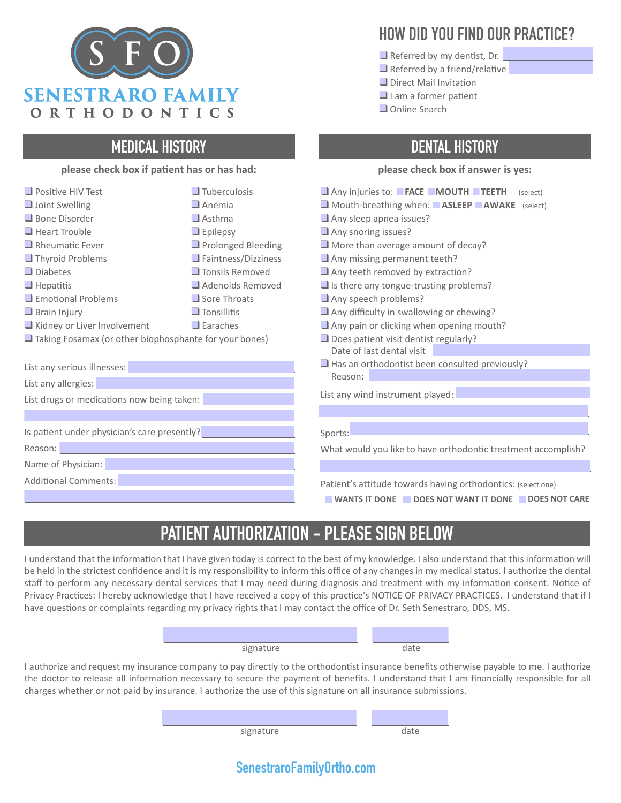

### MEDICAL HISTORY

#### **please check box if patient has or has had:**

| $\Box$ Positive HIV Test                               | $\Box$ Tuberculosis        |
|--------------------------------------------------------|----------------------------|
| $\Box$ Joint Swelling                                  | $\Box$ Anemia              |
| $\Box$ Bone Disorder                                   | $\Box$ Asthma              |
| $\Box$ Heart Trouble                                   | $\Box$ Epilepsy            |
| $\Box$ Rheumatic Fever                                 | $\Box$ Prolonged Bleeding  |
| $\Box$ Thyroid Problems                                | $\Box$ Faintness/Dizziness |
| $\Box$ Diabetes                                        | $\Box$ Tonsils Removed     |
| $\Box$ Hepatitis                                       | Adenoids Removed           |
| $\Box$ Emotional Problems                              | $\Box$ Sore Throats        |
| $\Box$ Brain Injury                                    | $\Box$ Tonsillitis         |
| Kidney or Liver Involvement                            | $\Box$ Earaches            |
| Taking Fosamax (or other biophosphante for your bones) |                            |
|                                                        |                            |
| ومحموما المرزماني والمحافيات                           |                            |

List any serious illnesses:

List any allergies:

List drugs or medications now being taken:

Is patient under physician's care presently?

Reason:

Name of Physician:

Additional Comments:

## HOW DID YOU FIND OUR PRACTICE?

- Referred by my dentist, Dr.
- Referred by a friend/relative
- ❑ Direct Mail Invitation
- I am a former patient
- ❑ Online Search

## DENTAL HISTORY

#### **please check box if answer is yes:**

- ❑ Any injuries to: **FACE MOUTH TEETH** (select)
- ❑ Mouth-breathing when: **ASLEEP AWAKE** (select)
- Any sleep apnea issues?
- Any snoring issues?
- More than average amount of decay?
- Any missing permanent teeth?
- Any teeth removed by extraction?
- Is there any tongue-trusting problems?
- Any speech problems?
- Any difficulty in swallowing or chewing?
- Any pain or clicking when opening mouth?
- Does patient visit dentist regularly? Date of last dental visit
- Has an orthodontist been consulted previously? Reason:

List any wind instrument played:

#### Sports:

What would you like to have orthodontic treatment accomplish?

Patient's attitude towards having orthodontics: (select one)

WANTS IT DONE **DOES NOT WANT IT DONE DOES NOT CARE** 

# PATIENT AUTHORIZATION - PLEASE SIGN BELOW

I understand that the information that I have given today is correct to the best of my knowledge. I also understand that this information will be held in the strictest confidence and it is my responsibility to inform this office of any changes in my medical status. I authorize the dental staff to perform any necessary dental services that I may need during diagnosis and treatment with my information consent. Notice of Privacy Practices: I hereby acknowledge that I have received a copy of this practice's NOTICE OF PRIVACY PRACTICES. I understand that if I have questions or complaints regarding my privacy rights that I may contact the office of Dr. Seth Senestraro, DDS, MS.

| signature |  |
|-----------|--|

I authorize and request my insurance company to pay directly to the orthodontist insurance benefits otherwise payable to me. I authorize the doctor to release all information necessary to secure the payment of benefits. I understand that I am financially responsible for all charges whether or not paid by insurance. I authorize the use of this signature on all insurance submissions.

signature date

### SenestraroFamilyOrtho.com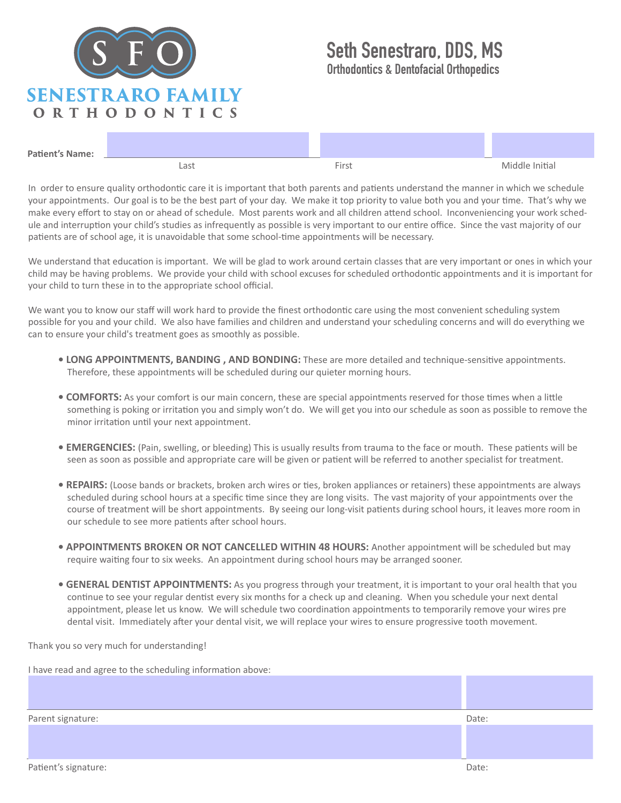

## Seth Senestraro, DDS, MS Orthodontics & Dentofacial Orthopedics

| <b>Patient's Name:</b> |      |         | $\sim$         |
|------------------------|------|---------|----------------|
|                        | Last | $Time+$ | Middle Initial |

In order to ensure quality orthodontic care it is important that both parents and patients understand the manner in which we schedule your appointments. Our goal is to be the best part of your day. We make it top priority to value both you and your time. That's why we make every effort to stay on or ahead of schedule. Most parents work and all children attend school. Inconveniencing your work schedule and interruption your child's studies as infrequently as possible is very important to our entire office. Since the vast majority of our patients are of school age, it is unavoidable that some school-time appointments will be necessary.

We understand that education is important. We will be glad to work around certain classes that are very important or ones in which your child may be having problems. We provide your child with school excuses for scheduled orthodontic appointments and it is important for your child to turn these in to the appropriate school official.

We want you to know our staff will work hard to provide the finest orthodontic care using the most convenient scheduling system possible for you and your child. We also have families and children and understand your scheduling concerns and will do everything we can to ensure your child's treatment goes as smoothly as possible.

- **LONG APPOINTMENTS, BANDING , AND BONDING:** These are more detailed and technique-sensitive appointments. Therefore, these appointments will be scheduled during our quieter morning hours.
- **COMFORTS:** As your comfort is our main concern, these are special appointments reserved for those times when a little something is poking or irritation you and simply won't do. We will get you into our schedule as soon as possible to remove the minor irritation until your next appointment.
- **EMERGENCIES:** (Pain, swelling, or bleeding) This is usually results from trauma to the face or mouth. These patients will be seen as soon as possible and appropriate care will be given or patient will be referred to another specialist for treatment.
- **REPAIRS:** (Loose bands or brackets, broken arch wires or ties, broken appliances or retainers) these appointments are always scheduled during school hours at a specific time since they are long visits. The vast majority of your appointments over the course of treatment will be short appointments. By seeing our long-visit patients during school hours, it leaves more room in our schedule to see more patients after school hours.
- **APPOINTMENTS BROKEN OR NOT CANCELLED WITHIN 48 HOURS:** Another appointment will be scheduled but may require waiting four to six weeks. An appointment during school hours may be arranged sooner.
- **GENERAL DENTIST APPOINTMENTS:** As you progress through your treatment, it is important to your oral health that you continue to see your regular dentist every six months for a check up and cleaning. When you schedule your next dental appointment, please let us know. We will schedule two coordination appointments to temporarily remove your wires pre dental visit. Immediately after your dental visit, we will replace your wires to ensure progressive tooth movement.

Thank you so very much for understanding!

| I have read and agree to the scheduling information above: |       |
|------------------------------------------------------------|-------|
|                                                            |       |
|                                                            |       |
|                                                            |       |
| Parent signature:                                          | Date: |
|                                                            |       |
|                                                            |       |
|                                                            |       |
| Patient's signature:                                       | Date: |